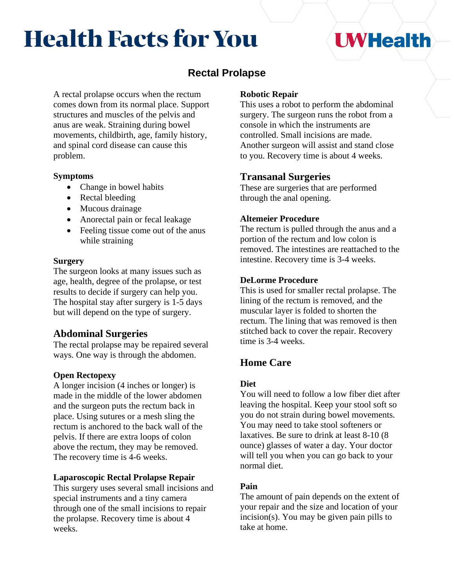# **Health Facts for You**

# **UWHealth**

# **Rectal Prolapse**

A rectal prolapse occurs when the rectum comes down from its normal place. Support structures and muscles of the pelvis and anus are weak. Straining during bowel movements, childbirth, age, family history, and spinal cord disease can cause this problem.

#### **Symptoms**

- Change in bowel habits
- Rectal bleeding
- Mucous drainage
- Anorectal pain or fecal leakage
- Feeling tissue come out of the anus while straining

#### **Surgery**

The surgeon looks at many issues such as age, health, degree of the prolapse, or test results to decide if surgery can help you. The hospital stay after surgery is 1-5 days but will depend on the type of surgery.

# **Abdominal Surgeries**

The rectal prolapse may be repaired several ways. One way is through the abdomen.

#### **Open Rectopexy**

A longer incision (4 inches or longer) is made in the middle of the lower abdomen and the surgeon puts the rectum back in place. Using sutures or a mesh sling the rectum is anchored to the back wall of the pelvis. If there are extra loops of colon above the rectum, they may be removed. The recovery time is 4-6 weeks.

#### **Laparoscopic Rectal Prolapse Repair**

This surgery uses several small incisions and special instruments and a tiny camera through one of the small incisions to repair the prolapse. Recovery time is about 4 weeks.

#### **Robotic Repair**

This uses a robot to perform the abdominal surgery. The surgeon runs the robot from a console in which the instruments are controlled. Small incisions are made. Another surgeon will assist and stand close to you. Recovery time is about 4 weeks.

## **Transanal Surgeries**

These are surgeries that are performed through the anal opening.

#### **Altemeier Procedure**

The rectum is pulled through the anus and a portion of the rectum and low colon is removed. The intestines are reattached to the intestine. Recovery time is 3-4 weeks.

#### **DeLorme Procedure**

This is used for smaller rectal prolapse. The lining of the rectum is removed, and the muscular layer is folded to shorten the rectum. The lining that was removed is then stitched back to cover the repair. Recovery time is 3-4 weeks.

# **Home Care**

#### **Diet**

You will need to follow a low fiber diet after leaving the hospital. Keep your stool soft so you do not strain during bowel movements. You may need to take stool softeners or laxatives. Be sure to drink at least 8-10 (8 ounce) glasses of water a day. Your doctor will tell you when you can go back to your normal diet.

#### **Pain**

The amount of pain depends on the extent of your repair and the size and location of your incision(s). You may be given pain pills to take at home.